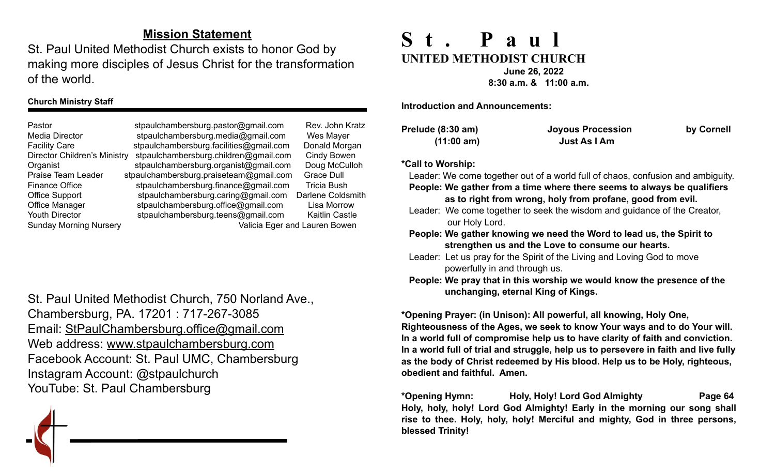## **Mission Statement**

St. Paul United Methodist Church exists to honor God by making more disciples of Jesus Christ for the transformation of the world.

#### **Church Ministry Staff**

Pastor stpaulchambersburg.pastor@gmail.com Rev. John Kratz Media Director [stpaulchambersburg.media@gmail.com](mailto:stpaulchambersburg.media@gmail.com) Wes Mayer Facility Care stpaulchambersburg.facilities@gmail.com Donald Morgan Director Children's Ministry stpaulchambersburg.children@gmail.com Cindy Bowen Organist stpaulchambersburg.organist@gmail.com Doug McCulloh Praise Team Leader stpaulchambersburg.praiseteam@gmail.com Grace Dull Finance Office stpaulchambersburg.finance@gmail.com Tricia Bush Office Support stpaulchambersburg.caring@gmail.com Darlene Coldsmith Office Manager stpaulchambersburg.office@gmail.com Lisa Morrow Youth Director [stpaulchambersburg.teens@gmail.com](mailto:stpaulchambersburg.teens@gmail.com) Kaitlin Castle Sunday Morning Nursery Valicia Eger and Lauren Bowen

St. Paul United Methodist Church, 750 Norland Ave., Chambersburg, PA. 17201 : 717-267-3085 Email: [StPaulChambersburg.office@gmail.com](mailto:StPaulChambersburg.office@gmail.com) Web address: [www.stpaulchambersburg.com](http://www.stpaulchambersburg.com) Facebook Account: St. Paul UMC, Chambersburg Instagram Account: @stpaulchurch YouTube: St. Paul Chambersburg



# **St. Paul UNITED METHODIST CHURCH June 26, 2022**

 **8:30 a.m. & 11:00 a.m.**

**Introduction and Announcements:** 

| Prelude (8:30 am) | <b>Joyous Procession</b> | by Cornell |
|-------------------|--------------------------|------------|
| (11:00 am)        | Just As I Am             |            |

#### **\*Call to Worship:**

Leader: We come together out of a world full of chaos, confusion and ambiguity.  **People: We gather from a time where there seems to always be qualifiers as to right from wrong, holy from profane, good from evil.**

Leader: We come together to seek the wisdom and guidance of the Creator, our Holy Lord.

 **People: We gather knowing we need the Word to lead us, the Spirit to strengthen us and the Love to consume our hearts.**

Leader:Let us pray for the Spirit of the Living and Loving God to move powerfully in and through us.

 **People: We pray that in this worship we would know the presence of the unchanging, eternal King of Kings.** 

**\*Opening Prayer: (in Unison): All powerful, all knowing, Holy One, Righteousness of the Ages, we seek to know Your ways and to do Your will. In a world full of compromise help us to have clarity of faith and conviction. In a world full of trial and struggle, help us to persevere in faith and live fully as the body of Christ redeemed by His blood. Help us to be Holy, righteous, obedient and faithful. Amen.**

**\*Opening Hymn: Holy, Holy! Lord God Almighty Page 64 Holy, holy, holy! Lord God Almighty! Early in the morning our song shall rise to thee. Holy, holy, holy! Merciful and mighty, God in three persons, blessed Trinity!**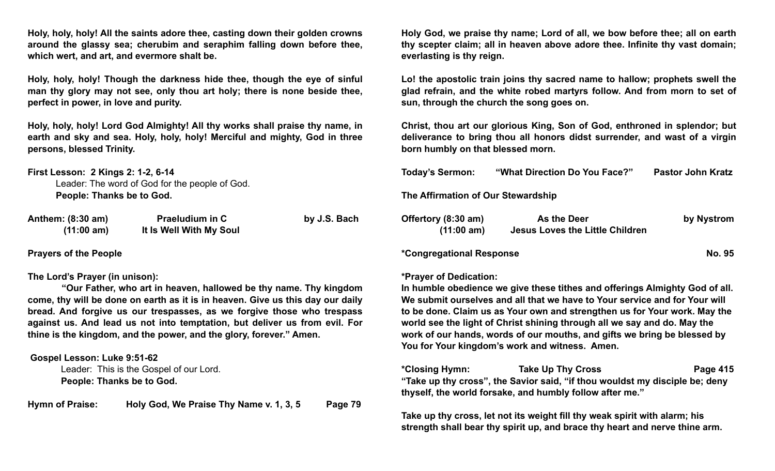**Holy, holy, holy! All the saints adore thee, casting down their golden crowns around the glassy sea; cherubim and seraphim falling down before thee, which wert, and art, and evermore shalt be.**

**Holy, holy, holy! Though the darkness hide thee, though the eye of sinful man thy glory may not see, only thou art holy; there is none beside thee, perfect in power, in love and purity.**

**Holy, holy, holy! Lord God Almighty! All thy works shall praise thy name, in earth and sky and sea. Holy, holy, holy! Merciful and mighty, God in three persons, blessed Trinity.**

**First Lesson: 2 Kings 2: 1-2, 6-14** Leader: The word of God for the people of God. **People: Thanks be to God.**

| Anthem: (8:30 am) | <b>Praeludium in C</b>  | by J.S. Bach |
|-------------------|-------------------------|--------------|
| (11:00 am)        | It Is Well With My Soul |              |

**Prayers of the People** 

#### **The Lord's Prayer (in unison):**

 **"Our Father, who art in heaven, hallowed be thy name. Thy kingdom come, thy will be done on earth as it is in heaven. Give us this day our daily bread. And forgive us our trespasses, as we forgive those who trespass against us. And lead us not into temptation, but deliver us from evil. For thine is the kingdom, and the power, and the glory, forever." Amen.** 

 **Gospel Lesson: Luke 9:51-62**

 Leader: This is the Gospel of our Lord. **People: Thanks be to God.** 

**Hymn of Praise: Holy God, We Praise Thy Name v. 1, 3, 5 Page 79**

**Holy God, we praise thy name; Lord of all, we bow before thee; all on earth thy scepter claim; all in heaven above adore thee. Infinite thy vast domain; everlasting is thy reign.**

**Lo! the apostolic train joins thy sacred name to hallow; prophets swell the glad refrain, and the white robed martyrs follow. And from morn to set of sun, through the church the song goes on.**

**Christ, thou art our glorious King, Son of God, enthroned in splendor; but deliverance to bring thou all honors didst surrender, and wast of a virgin born humbly on that blessed morn.**

| <b>Today's Sermon:</b>             | "What Direction Do You Face?"          | <b>Pastor John Kratz</b> |
|------------------------------------|----------------------------------------|--------------------------|
| The Affirmation of Our Stewardship |                                        |                          |
| Offertory (8:30 am)                | As the Deer                            | by Nystrom               |
| (11:00 am)                         | <b>Jesus Loves the Little Children</b> |                          |

**\*Congregational Response No. 95**

#### **\*Prayer of Dedication:**

**In humble obedience we give these tithes and offerings Almighty God of all. We submit ourselves and all that we have to Your service and for Your will to be done. Claim us as Your own and strengthen us for Your work. May the world see the light of Christ shining through all we say and do. May the work of our hands, words of our mouths, and gifts we bring be blessed by You for Your kingdom's work and witness. Amen.**

**\*Closing Hymn: Take Up Thy Cross Page 415 "Take up thy cross", the Savior said, "if thou wouldst my disciple be; deny thyself, the world forsake, and humbly follow after me."**

**Take up thy cross, let not its weight fill thy weak spirit with alarm; his strength shall bear thy spirit up, and brace thy heart and nerve thine arm.**